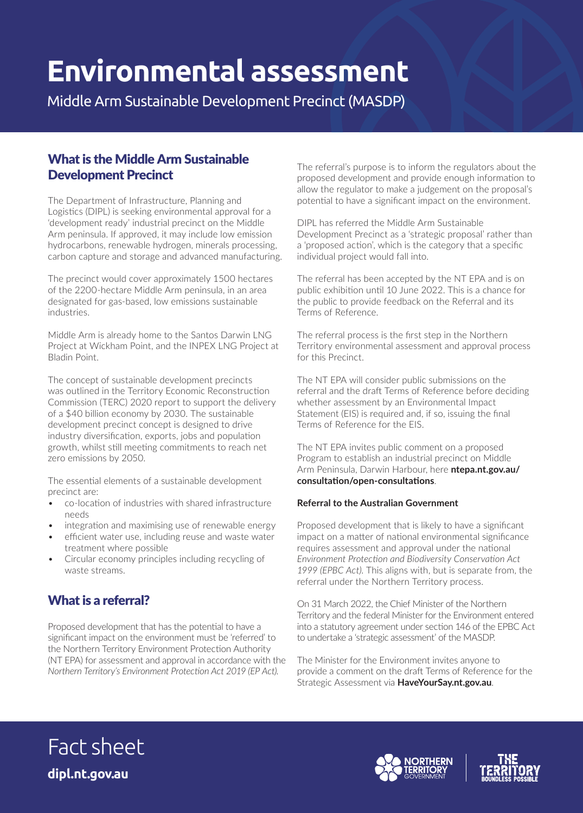# **Environmental assessment**

Middle Arm Sustainable Development Precinct (MASDP)

## What is the Middle Arm Sustainable Development Precinct

The Department of Infrastructure, Planning and Logistics (DIPL) is seeking environmental approval for a 'development ready' industrial precinct on the Middle Arm peninsula. If approved, it may include low emission hydrocarbons, renewable hydrogen, minerals processing, carbon capture and storage and advanced manufacturing.

The precinct would cover approximately 1500 hectares of the 2200-hectare Middle Arm peninsula, in an area designated for gas-based, low emissions sustainable industries.

Middle Arm is already home to the Santos Darwin LNG Project at Wickham Point, and the INPEX LNG Project at Bladin Point.

The concept of sustainable development precincts was outlined in the Territory Economic Reconstruction Commission (TERC) 2020 report to support the delivery of a \$40 billion economy by 2030. The sustainable development precinct concept is designed to drive industry diversification, exports, jobs and population growth, whilst still meeting commitments to reach net zero emissions by 2050.

The essential elements of a sustainable development precinct are:

- co-location of industries with shared infrastructure needs
- integration and maximising use of renewable energy
- efficient water use, including reuse and waste water treatment where possible
- Circular economy principles including recycling of waste streams.

# What is a referral?

Proposed development that has the potential to have a significant impact on the environment must be 'referred' to the Northern Territory Environment Protection Authority (NT EPA) for assessment and approval in accordance with the *Northern Territory's Environment Protection Act 2019 (EP Act).* 

The referral's purpose is to inform the regulators about the proposed development and provide enough information to allow the regulator to make a judgement on the proposal's potential to have a significant impact on the environment.

DIPL has referred the Middle Arm Sustainable Development Precinct as a 'strategic proposal' rather than a 'proposed action', which is the category that a specific individual project would fall into.

The referral has been accepted by the NT EPA and is on public exhibition until 10 June 2022. This is a chance for the public to provide feedback on the Referral and its Terms of Reference.

The referral process is the first step in the Northern Territory environmental assessment and approval process for this Precinct.

The NT EPA will consider public submissions on the referral and the draft Terms of Reference before deciding whether assessment by an Environmental Impact Statement (EIS) is required and, if so, issuing the final Terms of Reference for the EIS.

The NT EPA invites public comment on a proposed Program to establish an industrial precinct on Middle Arm Peninsula, Darwin Harbour, here **ntepa.nt.gov.au/ consultation/open-consultations**.

#### **Referral to the Australian Government**

Proposed development that is likely to have a significant impact on a matter of national environmental significance requires assessment and approval under the national *Environment Protection and Biodiversity Conservation Act 1999 (EPBC Act)*. This aligns with, but is separate from, the referral under the Northern Territory process.

On 31 March 2022, the Chief Minister of the Northern Territory and the federal Minister for the Environment entered into a statutory agreement under section 146 of the EPBC Act to undertake a 'strategic assessment' of the MASDP.

The Minister for the Environment invites anyone to provide a comment on the draft Terms of Reference for the Strategic Assessment via **HaveYourSay.nt.gov.au**.